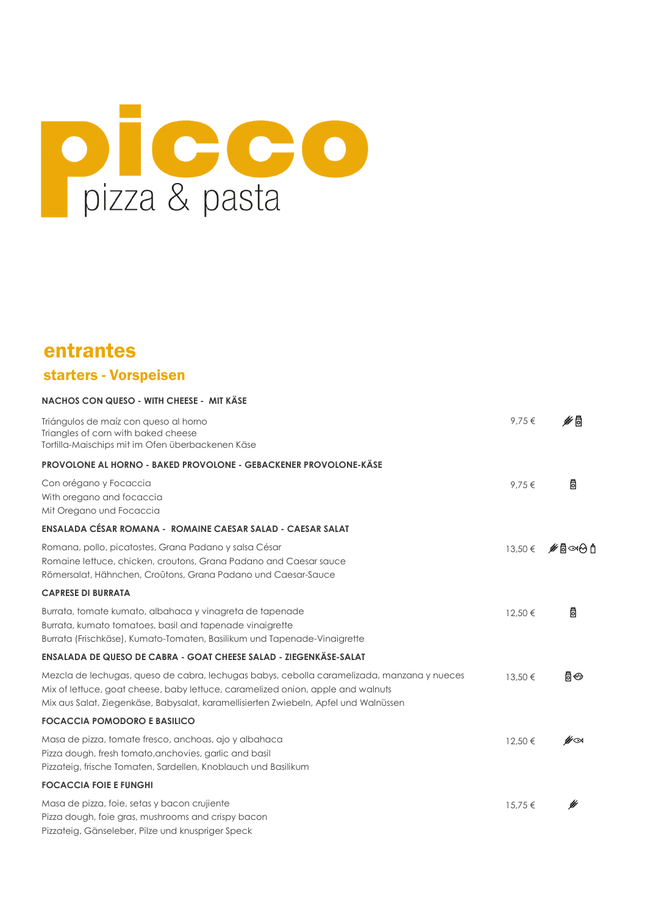# pizza & pasta

## entrantes starters - Vorspeisen

| NACHOS CON QUESO - WITH CHEESE - MIT KÄSE                                                                                                                                                                                                                             |         |         |
|-----------------------------------------------------------------------------------------------------------------------------------------------------------------------------------------------------------------------------------------------------------------------|---------|---------|
| Triángulos de maíz con queso al horno<br>Triangles of corn with baked cheese<br>Tortilla-Maischips mit im Ofen überbackenen Käse                                                                                                                                      | 9.75€   | ิ⊯ดี    |
| <b>PROVOLONE AL HORNO - BAKED PROVOLONE - GEBACKENER PROVOLONE-KÄSE</b>                                                                                                                                                                                               |         |         |
| Con orégano y Focaccia<br>With oregano and focaccia<br>Mit Oregano und Focaccia                                                                                                                                                                                       | 9,75€   | 咼       |
| ENSALADA CÉSAR ROMANA - ROMAINE CAESAR SALAD - CAESAR SALAT                                                                                                                                                                                                           |         |         |
| Romana, pollo, picatostes, Grana Padano y salsa César<br>Romaine lettuce, chicken, croutons, Grana Padano and Caesar sauce<br>Römersalat, Hähnchen, Croûtons, Grana Padano und Caesar-Sauce                                                                           | 13,50 € | ့#∏⊝∞∂∱ |
| <b>CAPRESE DI BURRATA</b>                                                                                                                                                                                                                                             |         |         |
| Burrata, tomate kumato, albahaca y vinagreta de tapenade<br>Burrata, kumato tomatoes, basil and tapenade vinaigrette<br>Burrata (Frischkäse), Kumato-Tomaten, Basilikum und Tapenade-Vinaigrette                                                                      | 12,50 € | ₿       |
| ENSALADA DE QUESO DE CABRA - GOAT CHEESE SALAD - ZIEGENKÄSE-SALAT                                                                                                                                                                                                     |         |         |
| Mezcla de lechugas, queso de cabra, lechugas babys, cebolla caramelizada, manzana y nueces<br>Mix of lettuce, goat cheese, baby lettuce, caramelized onion, apple and walnuts<br>Mix aus Salat, Ziegenkäse, Babysalat, karamellisierten Zwiebeln, Apfel und Walnüssen | 13.50 € | 6⊖      |
| <b>FOCACCIA POMODORO E BASILICO</b>                                                                                                                                                                                                                                   |         |         |
| Masa de pizza, tomate fresco, anchoas, ajo y albahaca<br>Pizza dough, fresh tomato, anchovies, garlic and basil<br>Pizzateig, frische Tomaten, Sardellen, Knoblauch und Basilikum                                                                                     | 12,50 € | ≝∞      |
| <b>FOCACCIA FOIE E FUNGHI</b>                                                                                                                                                                                                                                         |         |         |
| Masa de pizza, foie, setas y bacon crujiente<br>Pizza dough, foie gras, mushrooms and crispy bacon<br>Pizzateig, Gänseleber, Pilze und knuspriger Speck                                                                                                               | 15,75€  | է       |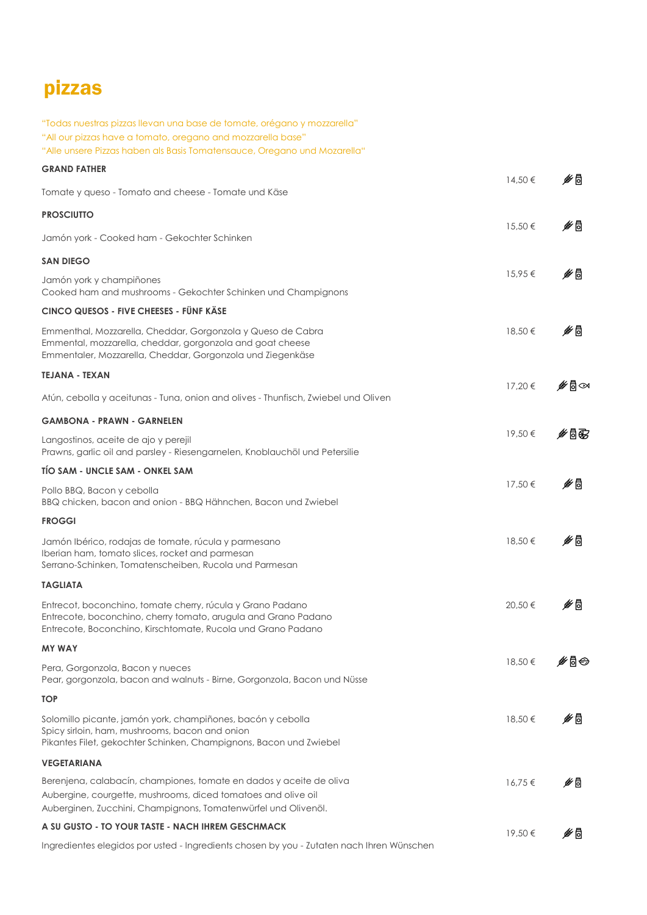# pizzas

| "Todas nuestras pizzas llevan una base de tomate, orégano y mozzarella"<br>"All our pizzas have a tomato, oregano and mozzarella base"<br>"Alle unsere Pizzas haben als Basis Tomatensauce, Oregano und Mozarella" |         |     |
|--------------------------------------------------------------------------------------------------------------------------------------------------------------------------------------------------------------------|---------|-----|
| <b>GRAND FATHER</b>                                                                                                                                                                                                |         |     |
| Tomate y queso - Tomato and cheese - Tomate und Käse                                                                                                                                                               | 14,50 € | է⊯  |
| <b>PROSCIUTTO</b>                                                                                                                                                                                                  |         |     |
| Jamón york - Cooked ham - Gekochter Schinken                                                                                                                                                                       | 15,50€  | է⊯  |
| <b>SAN DIEGO</b>                                                                                                                                                                                                   |         |     |
| Jamón york y champiñones<br>Cooked ham and mushrooms - Gekochter Schinken und Champignons                                                                                                                          | 15,95€  | ∲ ∂ |
| CINCO QUESOS - FIVE CHEESES - FÜNF KÄSE                                                                                                                                                                            |         |     |
| Emmenthal, Mozzarella, Cheddar, Gorgonzola y Queso de Cabra<br>Emmental, mozzarella, cheddar, gorgonzola and goat cheese<br>Emmentaler, Mozzarella, Cheddar, Gorgonzola und Ziegenkäse                             | 18,50 € | է⊯  |
| <b>TEJANA - TEXAN</b>                                                                                                                                                                                              | 17,20€  | է₿∞ |
| Atún, cebolla y aceitunas - Tuna, onion and olives - Thunfisch, Zwiebel und Oliven                                                                                                                                 |         |     |
| <b>GAMBONA - PRAWN - GARNELEN</b>                                                                                                                                                                                  |         |     |
| Langostinos, aceite de ajo y perejil<br>Prawns, garlic oil and parsley - Riesengarnelen, Knoblauchöl und Petersilie                                                                                                | 19,50 € | ⊯§® |
| TÍO SAM - UNCLE SAM - ONKEL SAM                                                                                                                                                                                    |         |     |
| Pollo BBQ, Bacon y cebolla<br>BBQ chicken, bacon and onion - BBQ Hähnchen, Bacon und Zwiebel                                                                                                                       | 17,50 € | ∲ ∂ |
| <b>FROGGI</b>                                                                                                                                                                                                      |         |     |
| Jamón Ibérico, rodajas de tomate, rúcula y parmesano<br>Iberian ham, tomato slices, rocket and parmesan<br>Serrano-Schinken, Tomatenscheiben, Rucola und Parmesan                                                  | 18,50 € | է⊯  |
| <b>TAGLIATA</b>                                                                                                                                                                                                    |         |     |
| Entrecot, boconchino, tomate cherry, rúcula y Grano Padano<br>Entrecote, boconchino, cherry tomato, arugula and Grano Padano<br>Entrecote, Boconchino, Kirschtomate, Rucola und Grano Padano                       | 20,50 € | ∲₿  |
| <b>MY WAY</b>                                                                                                                                                                                                      |         |     |
| Pera, Gorgonzola, Bacon y nueces<br>Pear, gorgonzola, bacon and walnuts - Birne, Gorgonzola, Bacon und Nüsse                                                                                                       | 18,50 € | է₿  |
| <b>TOP</b>                                                                                                                                                                                                         |         |     |
| Solomillo picante, jamón york, champiñones, bacón y cebolla<br>Spicy sirloin, ham, mushrooms, bacon and onion<br>Pikantes Filet, gekochter Schinken, Champignons, Bacon und Zwiebel                                | 18,50€  | է⊯  |
| <b>VEGETARIANA</b>                                                                                                                                                                                                 |         |     |
| Berenjena, calabacín, championes, tomate en dados y aceite de oliva<br>Aubergine, courgette, mushrooms, diced tomatoes and olive oil<br>Auberginen, Zucchini, Champignons, Tomatenwürfel und Olivenöl.             | 16,75€  | է⊯  |
| A SU GUSTO - TO YOUR TASTE - NACH IHREM GESCHMACK                                                                                                                                                                  | 19,50€  | է⊯  |
| Ingredientes elegidos por usted - Ingredients chosen by you - Zutaten nach Ihren Wünschen                                                                                                                          |         |     |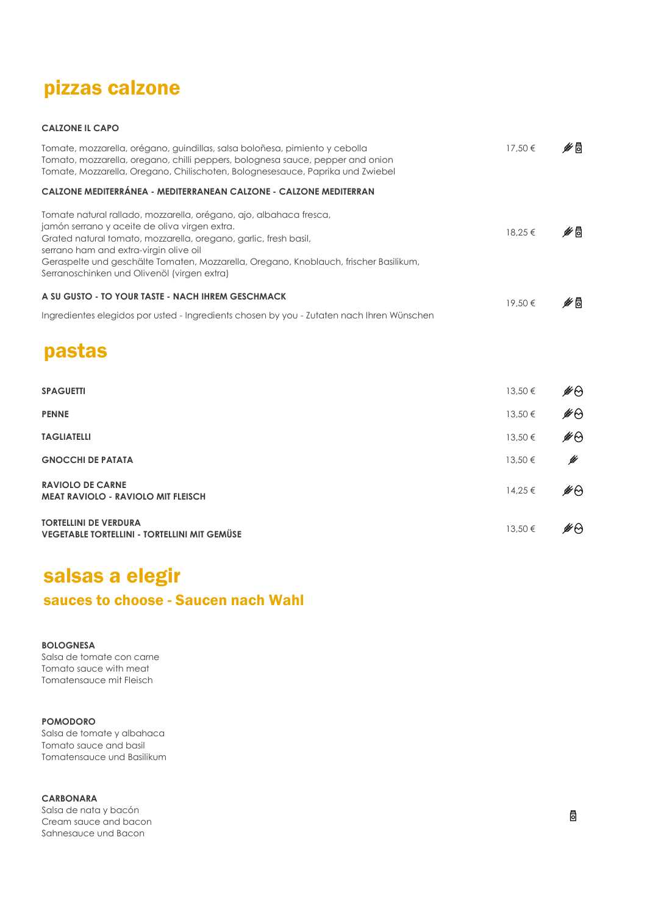## pizzas calzone

#### CALZONE IL CAPO

| Tomate, mozzarella, orégano, guindillas, salsa boloñesa, pimiento y cebolla<br>Tomato, mozzarella, oregano, chilli peppers, bolognesa sauce, pepper and onion<br>Tomate, Mozzarella, Oregano, Chilischoten, Bolognesesauce, Paprika und Zwiebel                                                                                                                           | 17,50 €     | ิ⊯ิ® |
|---------------------------------------------------------------------------------------------------------------------------------------------------------------------------------------------------------------------------------------------------------------------------------------------------------------------------------------------------------------------------|-------------|------|
| CALZONE MEDITERRÁNEA - MEDITERRANEAN CALZONE - CALZONE MEDITERRAN                                                                                                                                                                                                                                                                                                         |             |      |
| Tomate natural rallado, mozzarella, orégano, ajo, albahaca fresca,<br>jamón serrano y aceite de oliva virgen extra.<br>Grated natural tomato, mozzarella, oregano, garlic, fresh basil,<br>serrano ham and extra-virgin olive oil<br>Geraspelte und geschälte Tomaten, Mozzarella, Oregano, Knoblauch, frischer Basilikum,<br>Serranoschinken und Olivenöl (virgen extra) | 18,25 €     | ⊯ ⊌  |
| A SU GUSTO - TO YOUR TASTE - NACH IHREM GESCHMACK                                                                                                                                                                                                                                                                                                                         | 19,50€      | ∲ §  |
| Ingredientes elegidos por usted - Ingredients chosen by you - Zutaten nach Ihren Wünschen                                                                                                                                                                                                                                                                                 |             |      |
| <b>pastas</b>                                                                                                                                                                                                                                                                                                                                                             |             |      |
| <b>SPAGUETTI</b>                                                                                                                                                                                                                                                                                                                                                          | 13,50 €     | ⊯⊗   |
| <b>PENNE</b>                                                                                                                                                                                                                                                                                                                                                              | 13,50 €     | ⊯⊝   |
| <b>TAGLIATELLI</b>                                                                                                                                                                                                                                                                                                                                                        | 13,50 €     | ∯⊕   |
| <b>GNOCCHI DE PATATA</b>                                                                                                                                                                                                                                                                                                                                                  | 13,50 €     | է    |
| <b>RAVIOLO DE CARNE</b><br><b>MEAT RAVIOLO - RAVIOLO MIT FLEISCH</b>                                                                                                                                                                                                                                                                                                      | $14,25 \in$ | ∯⊕   |
| <b>TORTELLINI DE VERDURA</b><br>VEGETABLE TORTELLINI - TORTELLINI MIT GEMÜSE                                                                                                                                                                                                                                                                                              | 13,50 €     | ⊯⊝   |

# salsas a elegir

### sauces to choose - Saucen nach Wahl

#### BOLOGNESA

Salsa de tomate con carne Tomato sauce with meat Tomatensauce mit Fleisch

#### POMODORO

Salsa de tomate y albahaca Tomato sauce and basil Tomatensauce und Basilikum

#### CARBONARA

Salsa de nata y bacón Cream sauce and bacon Sahnesauce und Bacon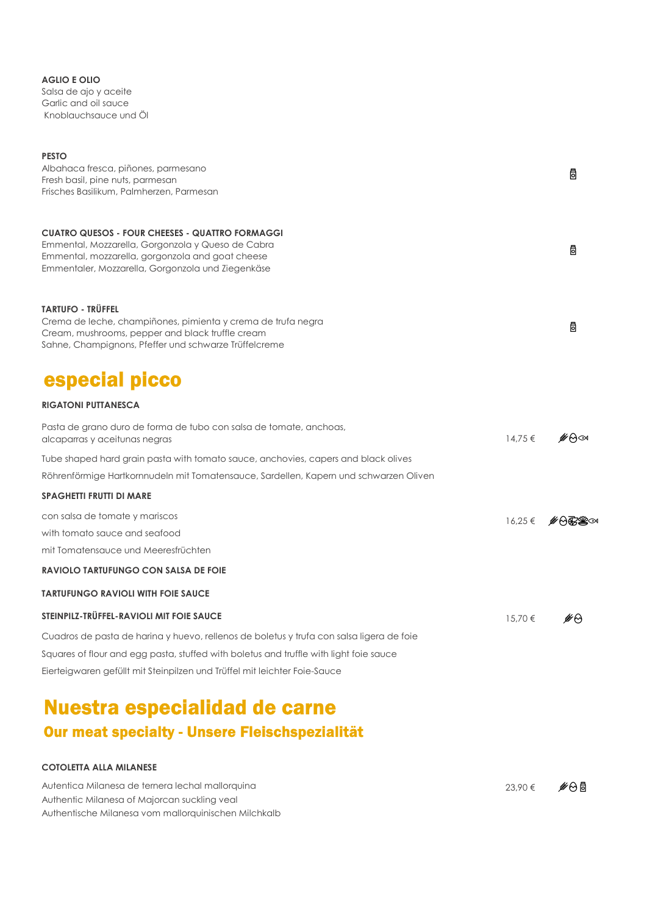AGLIO E OLIO

Salsa de ajo y aceite Garlic and oil sauce Knoblauchsauce und Öl

| <b>PESTO</b>                                                                                                     |             |      |
|------------------------------------------------------------------------------------------------------------------|-------------|------|
| Albahaca fresca, piñones, parmesano<br>Fresh basil, pine nuts, parmesan                                          |             | 咼    |
| Frisches Basilikum, Palmherzen, Parmesan                                                                         |             |      |
| <b>CUATRO QUESOS - FOUR CHEESES - QUATTRO FORMAGGI</b>                                                           |             |      |
| Emmental, Mozzarella, Gorgonzola y Queso de Cabra                                                                |             |      |
| Emmental, mozzarella, gorgonzola and goat cheese                                                                 |             | 咼    |
| Emmentaler, Mozzarella, Gorgonzola und Ziegenkäse                                                                |             |      |
| <b>TARTUFO - TRÜFFEL</b>                                                                                         |             |      |
| Crema de leche, champiñones, pimienta y crema de trufa negra<br>Cream, mushrooms, pepper and black truffle cream |             | 咼    |
| Sahne, Champignons, Pfeffer und schwarze Trüffelcreme                                                            |             |      |
| especial picco                                                                                                   |             |      |
| <b>RIGATONI PUTTANESCA</b>                                                                                       |             |      |
| Pasta de grano duro de forma de tubo con salsa de tomate, anchoas,<br>alcaparras y aceitunas negras              | $14,75 \in$ | ⊯⇔∞  |
| Tube shaped hard grain pasta with tomato sauce, anchovies, capers and black olives                               |             |      |
| Röhrenförmige Hartkornnudeln mit Tomatensauce, Sardellen, Kapern und schwarzen Oliven                            |             |      |
| <b>SPAGHETTI FRUTTI DI MARE</b>                                                                                  |             |      |
| con salsa de tomate y mariscos                                                                                   | $16.25 \in$ |      |
| with tomato sauce and seafood                                                                                    |             |      |
| mit Tomatensauce und Meeresfrüchten                                                                              |             |      |
| <b>RAVIOLO TARTUFUNGO CON SALSA DE FOIE</b>                                                                      |             |      |
| <b>TARTUFUNGO RAVIOLI WITH FOIE SAUCE</b>                                                                        |             |      |
| STEINPILZ-TRÜFFEL-RAVIOLI MIT FOIE SAUCE                                                                         | 15,70 €     | ิิ⊯ค |
| Cuadros de pasta de harina y huevo, rellenos de boletus y trufa con salsa ligera de foie                         |             |      |
| Squares of flour and egg pasta, stuffed with boletus and truffle with light foie sauce                           |             |      |
| Eierteigwaren gefüllt mit Steinpilzen und Trüffel mit leichter Foie-Sauce                                        |             |      |
| ___                                                                                                              |             |      |

## Nuestra especialidad de carne Our meat specialty - Unsere Fleischspezialität

#### COTOLETTA ALLA MILANESE

Autentica Milanesa de ternera lechal mallorquina Authentic Milanesa of Majorcan suckling veal Authentische Milanesa vom mallorquinischen Milchkalb 23,90 € ⊮⊖®